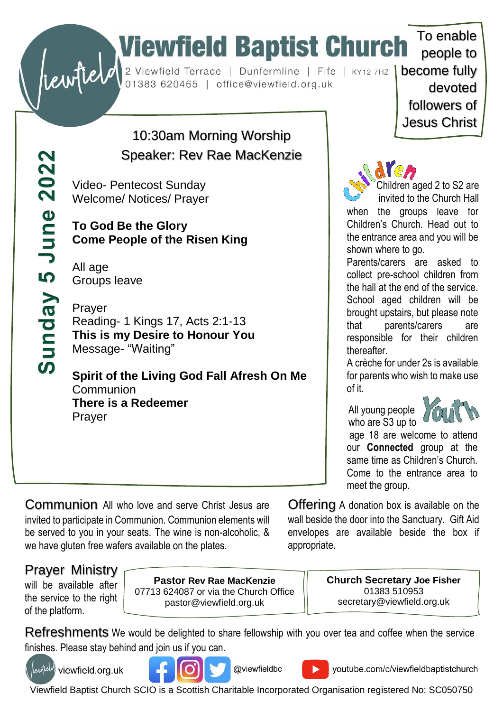# To enable<br>
Substitute of the Church To enable<br>
Substitute of the Church To enable<br>
Dunfermline | Fife | KY12 7HZ | become fully<br>
devoted

Sunday 5 June 2022

## 10:30am Morning Worship Speaker: Rev Rae MacKenzie

Video- Pentecost Sunday Welcome/ Notices/ Prayer

**To God Be the Glory Come People of the Risen King**

All age Groups leave

Prayer Reading- 1 Kings 17, Acts 2:1-13 **This is my Desire to Honour You** Message- "Waiting"

**Spirit of the Living God Fall Afresh On Me Communion There is a Redeemer** Prayer

people to devoted followers of Jesus Christ

To enable



Children aged 2 to S2 are invited to the Church Hall

when the groups leave for Children's Church. Head out to the entrance area and you will be shown where to go.

Parents/carers are asked to collect pre-school children from the hall at the end of the service. School aged children will be brought upstairs, but please note that parents/carers are responsible for their children thereafter.

A crèche for under 2s is available for parents who wish to make use of it.

 All young people who are S3 up to



age 18 are welcome to attend our **Connected** group at the same time as Children's Church. Come to the entrance area to meet the group.

Communion All who love and serve Christ Jesus are invited to participate in Communion. Communion elements will be served to you in your seats. The wine is non-alcoholic, & we have gluten free wafers available on the plates.

Offering A donation box is available on the wall beside the door into the Sanctuary. Gift Aid envelopes are available beside the box if appropriate.

### Prayer Ministry

will be available after the service to the right of the platform.

**Pastor Rev Rae MacKenzie** 07713 624087 or via the Church Office pastor@viewfield.org.uk

**Church Secretary Joe Fisher** 01383 510953 secretary@viewfield.org.uk

Refreshments We would be delighted to share fellowship with you over tea and coffee when the service finishes. Please stay behind and join us if you can.



(tewfield) viewfield.org.uk





youtube.com/c/viewfieldbaptistchurch

Viewfield Baptist Church SCIO is a Scottish Charitable Incorporated Organisation registered No: SC050750